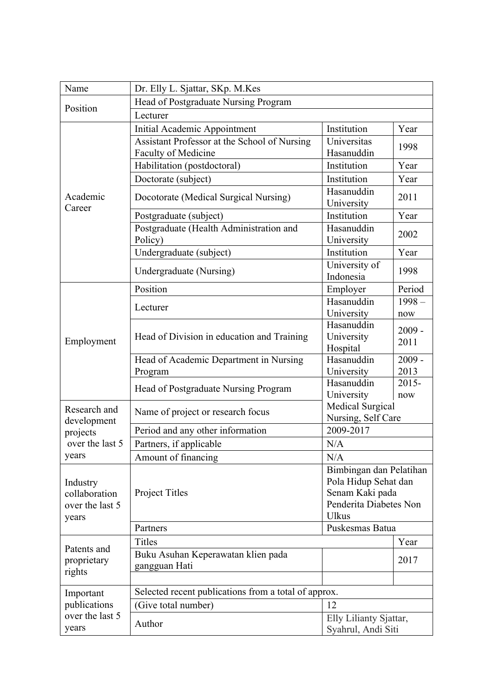| Name                                                                | Dr. Elly L. Sjattar, SKp. M.Kes                                     |                                                                                                              |                  |  |
|---------------------------------------------------------------------|---------------------------------------------------------------------|--------------------------------------------------------------------------------------------------------------|------------------|--|
| Position                                                            | Head of Postgraduate Nursing Program                                |                                                                                                              |                  |  |
|                                                                     | Lecturer                                                            |                                                                                                              |                  |  |
| Academic<br>Career                                                  | Initial Academic Appointment                                        | Institution                                                                                                  | Year             |  |
|                                                                     | Assistant Professor at the School of Nursing<br>Faculty of Medicine | Universitas<br>Hasanuddin                                                                                    | 1998             |  |
|                                                                     | Habilitation (postdoctoral)                                         | Institution                                                                                                  | Year             |  |
|                                                                     | Doctorate (subject)                                                 | Institution                                                                                                  | Year             |  |
|                                                                     | Docotorate (Medical Surgical Nursing)                               | Hasanuddin<br>University                                                                                     | 2011             |  |
|                                                                     | Postgraduate (subject)                                              | Institution                                                                                                  | Year             |  |
|                                                                     | Postgraduate (Health Administration and<br>Policy)                  | Hasanuddin<br>University                                                                                     | 2002             |  |
|                                                                     | Undergraduate (subject)                                             | Institution                                                                                                  | Year             |  |
|                                                                     | Undergraduate (Nursing)                                             | University of<br>Indonesia                                                                                   | 1998             |  |
|                                                                     | Position                                                            | Employer                                                                                                     | Period           |  |
| Employment                                                          | Lecturer                                                            | Hasanuddin<br>University                                                                                     | $1998 -$<br>now  |  |
|                                                                     | Head of Division in education and Training                          | Hasanuddin<br>University<br>Hospital                                                                         | $2009 -$<br>2011 |  |
|                                                                     | Head of Academic Department in Nursing<br>Program                   | Hasanuddin<br>University                                                                                     | $2009 -$<br>2013 |  |
|                                                                     | Head of Postgraduate Nursing Program                                | Hasanuddin<br>University                                                                                     | $2015 -$<br>now  |  |
| Research and<br>development<br>projects<br>over the last 5<br>years | Name of project or research focus                                   | Medical Surgical<br>Nursing, Self Care                                                                       |                  |  |
|                                                                     | Period and any other information                                    | 2009-2017                                                                                                    |                  |  |
|                                                                     | Partners, if applicable                                             | N/A                                                                                                          |                  |  |
|                                                                     | Amount of financing                                                 | N/A                                                                                                          |                  |  |
| Industry<br>collaboration<br>over the last 5<br>years               | Project Titles                                                      | Bimbingan dan Pelatihan<br>Pola Hidup Sehat dan<br>Senam Kaki pada<br>Penderita Diabetes Non<br><b>Ulkus</b> |                  |  |
|                                                                     | Partners                                                            | Puskesmas Batua                                                                                              |                  |  |
| Patents and<br>proprietary<br>rights                                | <b>Titles</b>                                                       |                                                                                                              | Year             |  |
|                                                                     | Buku Asuhan Keperawatan klien pada<br>gangguan Hati                 |                                                                                                              | 2017             |  |
|                                                                     |                                                                     |                                                                                                              |                  |  |
| Important<br>publications<br>over the last 5<br>years               | Selected recent publications from a total of approx.                |                                                                                                              |                  |  |
|                                                                     | (Give total number)                                                 | 12                                                                                                           |                  |  |
|                                                                     | Author                                                              | Elly Lilianty Sjattar,<br>Syahrul, Andi Siti                                                                 |                  |  |